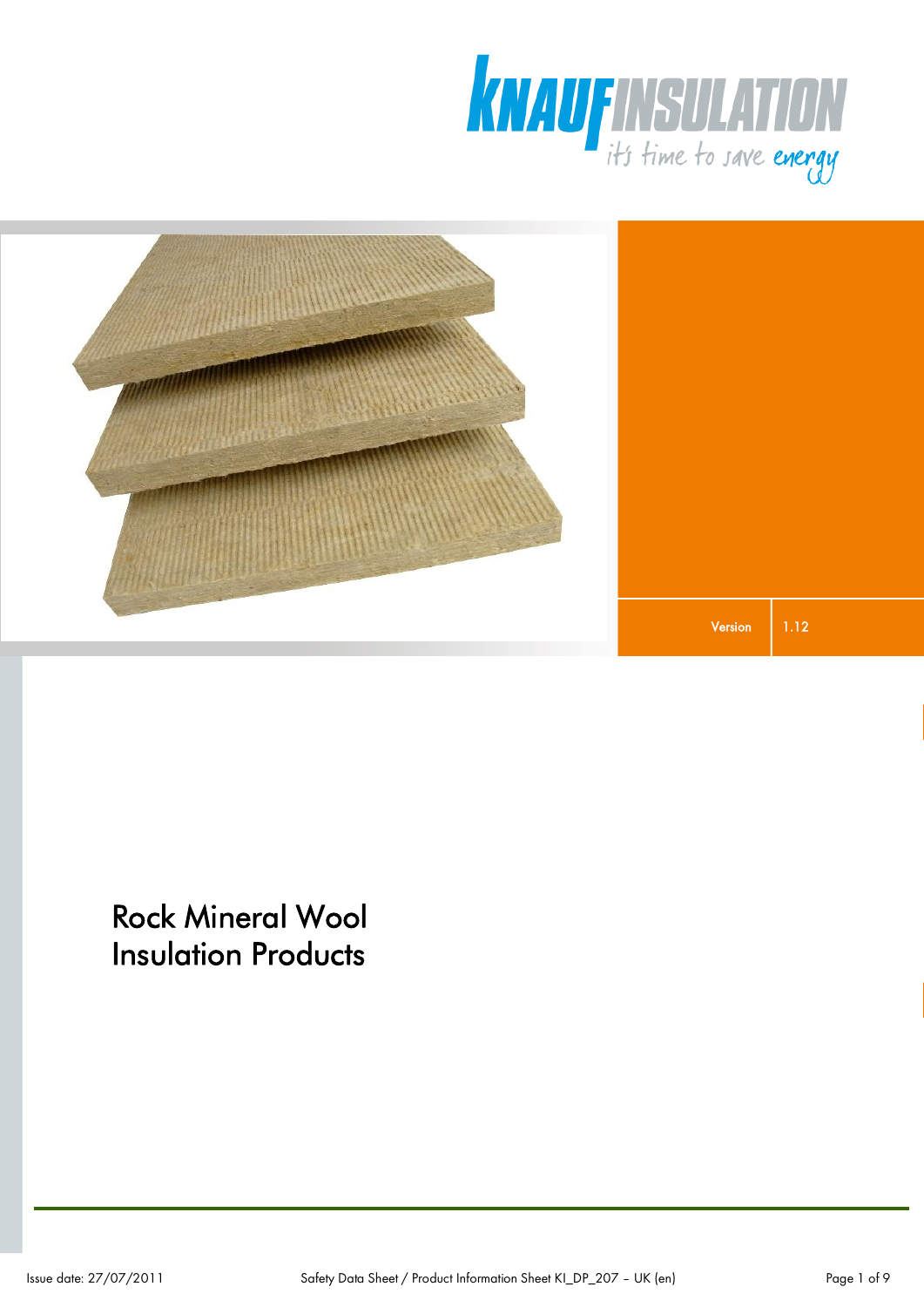



Rock Mineral Wool Insulation Products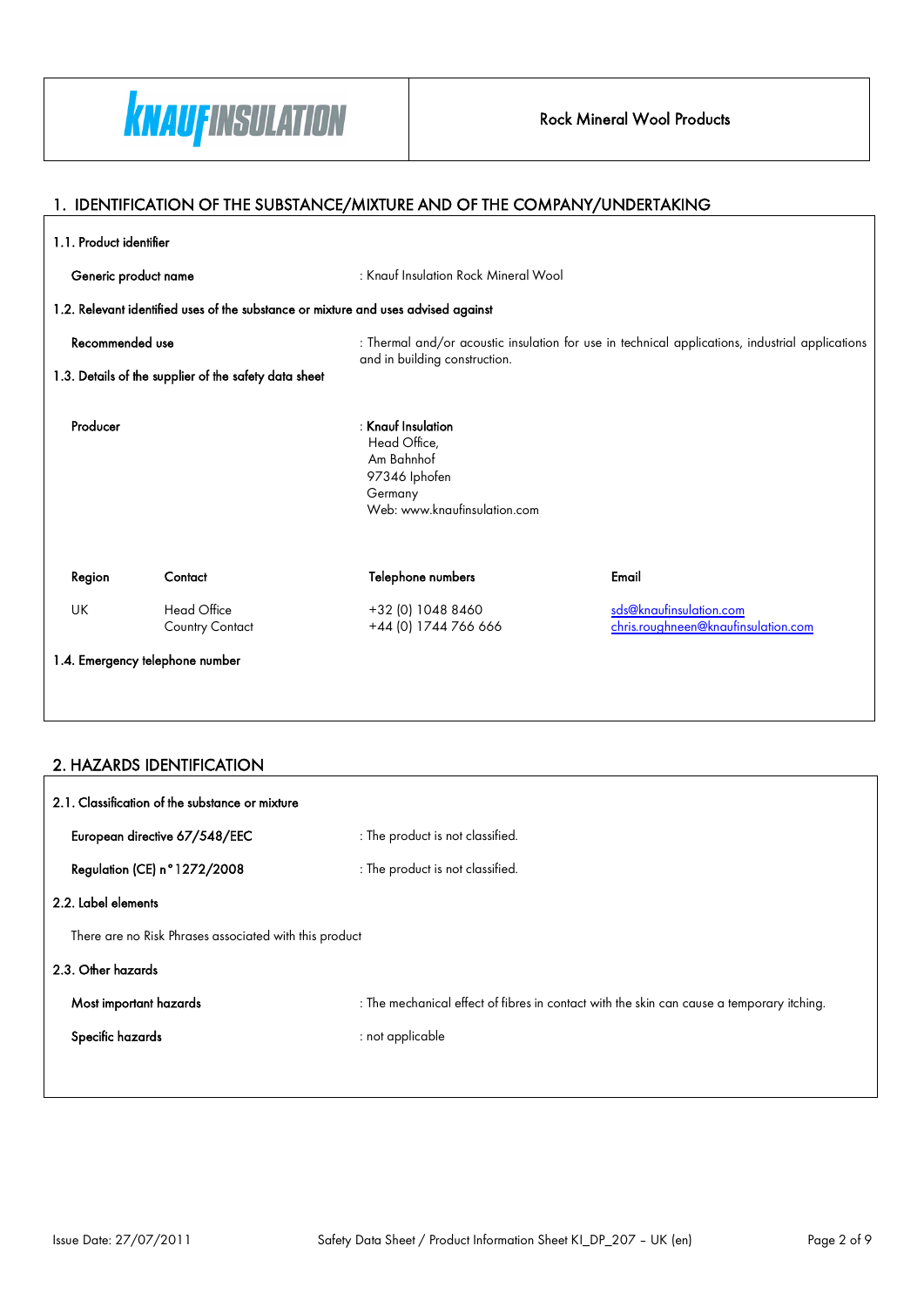

#### Rock Mineral Wool Products

#### 1. IDENTIFICATION OF THE SUBSTANCE/MIXTURE AND OF THE COMPANY/UNDERTAKING

| 1.1. Product identifier                                                                |                                              |                                                                                                                |                                                                                                 |  |
|----------------------------------------------------------------------------------------|----------------------------------------------|----------------------------------------------------------------------------------------------------------------|-------------------------------------------------------------------------------------------------|--|
| Generic product name                                                                   |                                              | : Knauf Insulation Rock Mineral Wool                                                                           |                                                                                                 |  |
|                                                                                        |                                              | 1.2. Relevant identified uses of the substance or mixture and uses advised against                             |                                                                                                 |  |
| Recommended use                                                                        |                                              |                                                                                                                | : Thermal and/or acoustic insulation for use in technical applications, industrial applications |  |
| and in building construction.<br>1.3. Details of the supplier of the safety data sheet |                                              |                                                                                                                |                                                                                                 |  |
| Producer                                                                               |                                              | $:$ Knauf Insulation<br>Head Office,<br>Am Bahnhof<br>97346 Iphofen<br>Germany<br>Web: www.knaufinsulation.com |                                                                                                 |  |
| Region                                                                                 | Contact                                      | Telephone numbers                                                                                              | Email                                                                                           |  |
| UK                                                                                     | <b>Head Office</b><br><b>Country Contact</b> | +32 (0) 1048 8460<br>+44 (0) 1744 766 666                                                                      | sds@knaufinsulation.com<br>chris.roughneen@knaufinsulation.com                                  |  |
| 1.4. Emergency telephone number                                                        |                                              |                                                                                                                |                                                                                                 |  |

#### 2. HAZARDS IDENTIFICATION

| 2.1. Classification of the substance or mixture        |                                                                                           |  |
|--------------------------------------------------------|-------------------------------------------------------------------------------------------|--|
| European directive 67/548/EEC                          | : The product is not classified.                                                          |  |
| Regulation (CE) n°1272/2008                            | : The product is not classified.                                                          |  |
| 2.2. Label elements                                    |                                                                                           |  |
| There are no Risk Phrases associated with this product |                                                                                           |  |
| 2.3. Other hazards                                     |                                                                                           |  |
| Most important hazards                                 | : The mechanical effect of fibres in contact with the skin can cause a temporary itching. |  |
| Specific hazards                                       | : not applicable                                                                          |  |
|                                                        |                                                                                           |  |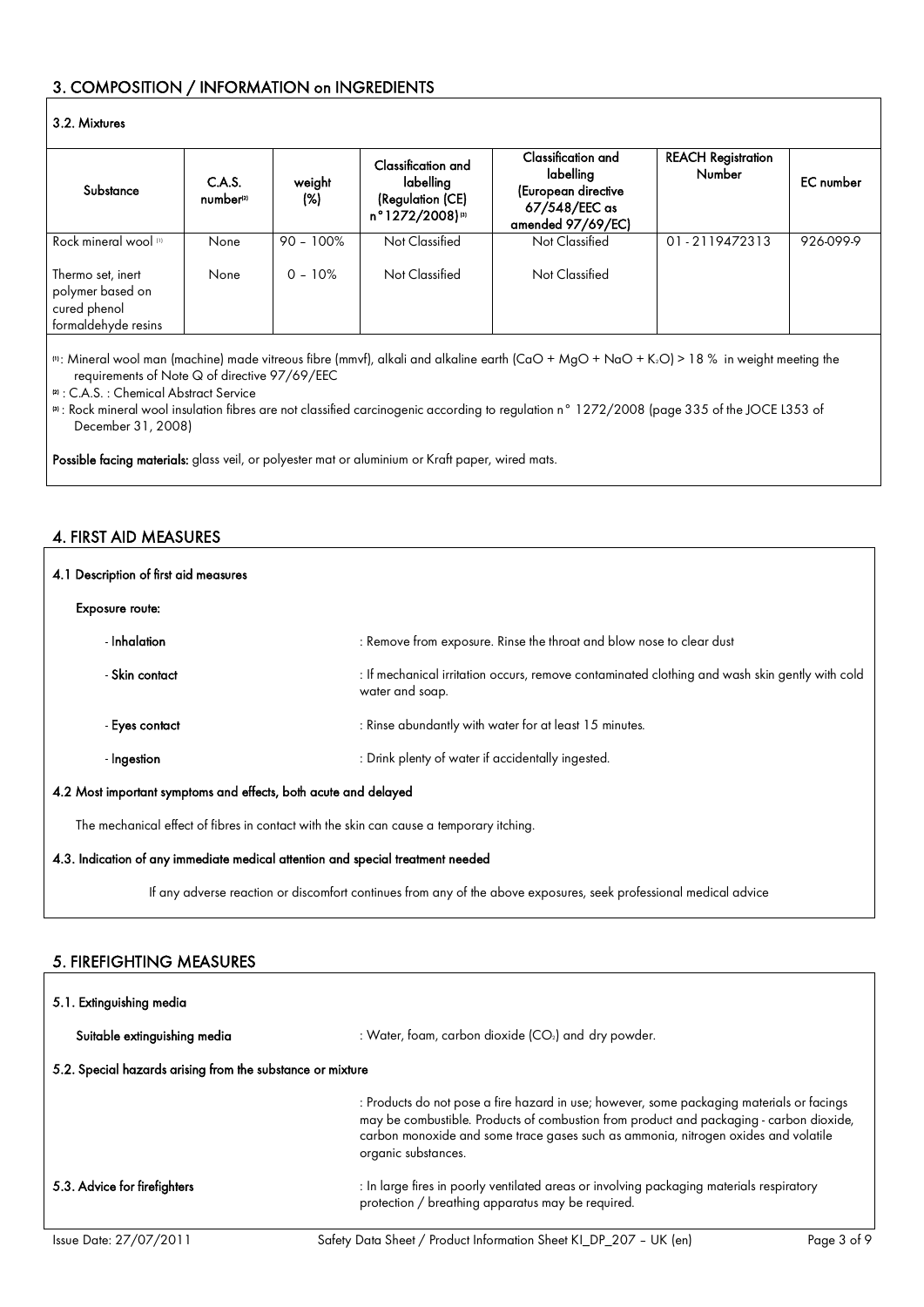### 3. COMPOSITION / INFORMATION on INGREDIENTS

#### 3.2. Mixtures

| Substance                                                                    | C.A.S.<br>number <sup>21</sup> | weight<br>(%) | Classification and<br>labelling<br>(Regulation (CE)<br>n°1272/2008)® | Classification and<br>labelling<br>(European directive<br>67/548/EEC as<br>amended 97/69/EC) | <b>REACH Registration</b><br><b>Number</b> | <b>EC</b> number |
|------------------------------------------------------------------------------|--------------------------------|---------------|----------------------------------------------------------------------|----------------------------------------------------------------------------------------------|--------------------------------------------|------------------|
| Rock mineral wool [1]                                                        | None                           | $90 - 100\%$  | Not Classified                                                       | Not Classified                                                                               | 01-2119472313                              | 926-099-9        |
| Thermo set, inert<br>polymer based on<br>cured phenol<br>formaldehyde resins | None                           | $0 - 10\%$    | Not Classified                                                       | Not Classified                                                                               |                                            |                  |

(1): Mineral wool man (machine) made vitreous fibre (mmvf), alkali and alkaline earth (CaO + MgO + NaO + K2O) > 18 % in weight meeting the requirements of Note Q of directive 97/69/EEC

<sup>(2)</sup> : C.A.S. : Chemical Abstract Service

(3) : Rock mineral wool insulation fibres are not classified carcinogenic according to regulation n° 1272/2008 (page 335 of the JOCE L353 of December 31, 2008)

Possible facing materials: glass veil, or polyester mat or aluminium or Kraft paper, wired mats.

#### 4. FIRST AID MEASURES

| 4.1 Description of first aid measures                                                                                          |                                                                                                                   |  |
|--------------------------------------------------------------------------------------------------------------------------------|-------------------------------------------------------------------------------------------------------------------|--|
| <b>Exposure route:</b>                                                                                                         |                                                                                                                   |  |
| - Inhalation                                                                                                                   | : Remove from exposure. Rinse the throat and blow nose to clear dust                                              |  |
| - Skin contact                                                                                                                 | : If mechanical irritation occurs, remove contaminated clothing and wash skin gently with cold<br>water and soap. |  |
| - Eyes contact                                                                                                                 | : Rinse abundantly with water for at least 15 minutes.                                                            |  |
| - Ingestion                                                                                                                    | : Drink plenty of water if accidentally ingested.                                                                 |  |
| 4.2 Most important symptoms and effects, both acute and delayed                                                                |                                                                                                                   |  |
| The mechanical effect of fibres in contact with the skin can cause a temporary itching.                                        |                                                                                                                   |  |
| $\mathbf{a}$ , and $\mathbf{a}$ , and $\mathbf{a}$ , and $\mathbf{a}$ , and $\mathbf{a}$ , and $\mathbf{a}$ , and $\mathbf{a}$ |                                                                                                                   |  |

4.3. Indication of any immediate medical attention and special treatment needed

If any adverse reaction or discomfort continues from any of the above exposures, seek professional medical advice

#### 5. FIREFIGHTING MEASURES

| 5.1. Extinguishing media                                   |                                                                                                                                                                                                                                                                                                   |  |
|------------------------------------------------------------|---------------------------------------------------------------------------------------------------------------------------------------------------------------------------------------------------------------------------------------------------------------------------------------------------|--|
| Suitable extinguishing media                               | : Water, foam, carbon dioxide (CO2) and dry powder.                                                                                                                                                                                                                                               |  |
| 5.2. Special hazards arising from the substance or mixture |                                                                                                                                                                                                                                                                                                   |  |
|                                                            | : Products do not pose a fire hazard in use; however, some packaging materials or facings<br>may be combustible. Products of combustion from product and packaging - carbon dioxide,<br>carbon monoxide and some trace gases such as ammonia, nitrogen oxides and volatile<br>organic substances. |  |
| 5.3. Advice for firefighters                               | : In large fires in poorly ventilated areas or involving packaging materials respiratory<br>protection / breathing apparatus may be required.                                                                                                                                                     |  |
|                                                            |                                                                                                                                                                                                                                                                                                   |  |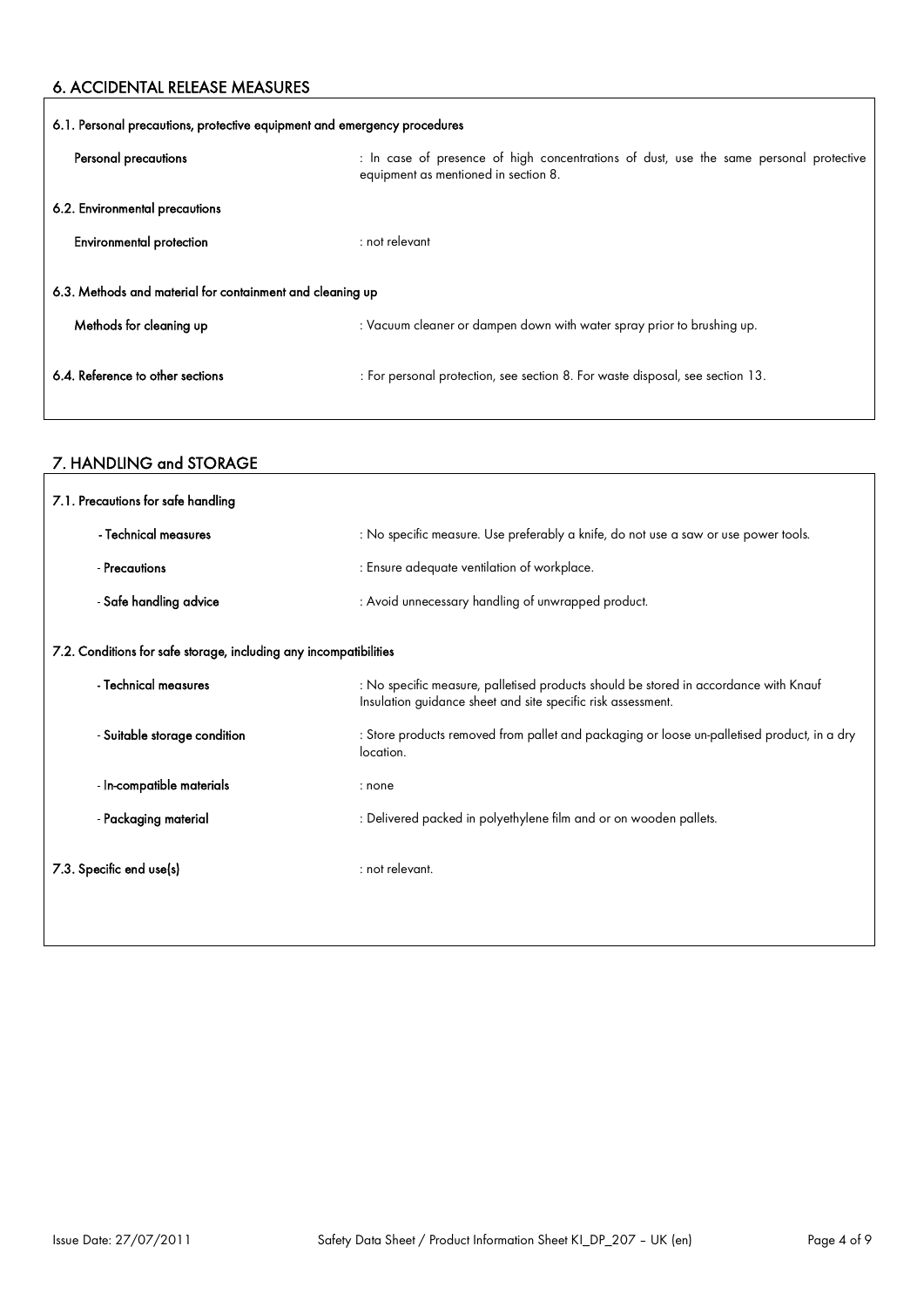#### 6. ACCIDENTAL RELEASE MEASURES

 $\mathbf{r}$ 

| 6.1. Personal precautions, protective equipment and emergency procedures |                                                                                                                                |  |
|--------------------------------------------------------------------------|--------------------------------------------------------------------------------------------------------------------------------|--|
| Personal precautions                                                     | : In case of presence of high concentrations of dust, use the same personal protective<br>equipment as mentioned in section 8. |  |
| 6.2. Environmental precautions                                           |                                                                                                                                |  |
| <b>Environmental protection</b>                                          | $:$ not relevant                                                                                                               |  |
| 6.3. Methods and material for containment and cleaning up                |                                                                                                                                |  |
| Methods for cleaning up                                                  | : Vacuum cleaner or dampen down with water spray prior to brushing up.                                                         |  |
| 6.4. Reference to other sections                                         | : For personal protection, see section 8. For waste disposal, see section 13.                                                  |  |

# 7. HANDLING and STORAGE

| 7.1. Precautions for safe handling                                |                                                                                                                                                      |  |
|-------------------------------------------------------------------|------------------------------------------------------------------------------------------------------------------------------------------------------|--|
| - Technical measures                                              | : No specific measure. Use preferably a knife, do not use a saw or use power tools.                                                                  |  |
| - Precautions                                                     | : Ensure adequate ventilation of workplace.                                                                                                          |  |
| - Safe handling advice                                            | : Avoid unnecessary handling of unwrapped product.                                                                                                   |  |
| 7.2. Conditions for safe storage, including any incompatibilities |                                                                                                                                                      |  |
| - Technical measures                                              | : No specific measure, palletised products should be stored in accordance with Knauf<br>Insulation guidance sheet and site specific risk assessment. |  |
| - Suitable storage condition                                      | : Store products removed from pallet and packaging or loose un-palletised product, in a dry<br>location.                                             |  |
| - In-compatible materials                                         | : none                                                                                                                                               |  |
| - Packaging material                                              | : Delivered packed in polyethylene film and or on wooden pallets.                                                                                    |  |
| 7.3. Specific end use(s)                                          | : not relevant.                                                                                                                                      |  |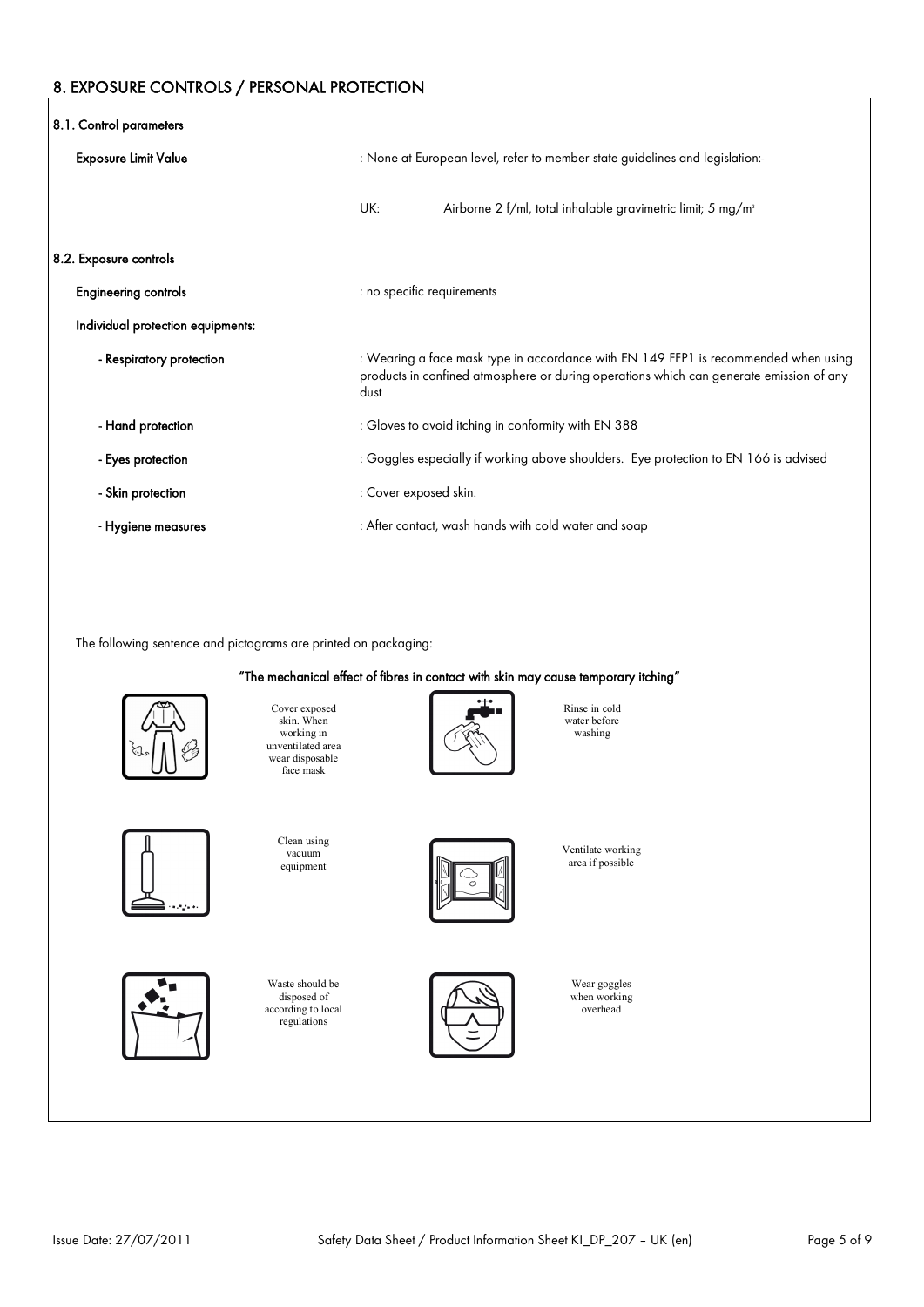#### 8. EXPOSURE CONTROLS / PERSONAL PROTECTION

| 8.1. Control parameters           |                                                                                                                                                                                        |  |
|-----------------------------------|----------------------------------------------------------------------------------------------------------------------------------------------------------------------------------------|--|
| <b>Exposure Limit Value</b>       | : None at European level, refer to member state guidelines and legislation:-                                                                                                           |  |
|                                   | UK:<br>Airborne 2 f/ml, total inhalable gravimetric limit; 5 mg/m <sup>3</sup>                                                                                                         |  |
| 8.2. Exposure controls            |                                                                                                                                                                                        |  |
| <b>Engineering controls</b>       | : no specific requirements                                                                                                                                                             |  |
| Individual protection equipments: |                                                                                                                                                                                        |  |
| - Respiratory protection          | : Wearing a face mask type in accordance with EN 149 FFP1 is recommended when using<br>products in confined atmosphere or during operations which can generate emission of any<br>dust |  |
| - Hand protection                 | : Gloves to avoid itching in conformity with EN 388                                                                                                                                    |  |
| - Eyes protection                 | : Goggles especially if working above shoulders. Eye protection to EN 166 is advised                                                                                                   |  |
| - Skin protection                 | : Cover exposed skin.                                                                                                                                                                  |  |
| - Hygiene measures                | : After contact, wash hands with cold water and soap                                                                                                                                   |  |

The following sentence and pictograms are printed on packaging:









Rinse in cold water before washing



Clean using vacuum equipment

Waste should be disposed of according to local regulations





Ventilate working area if possible

> Wear goggles when working overhead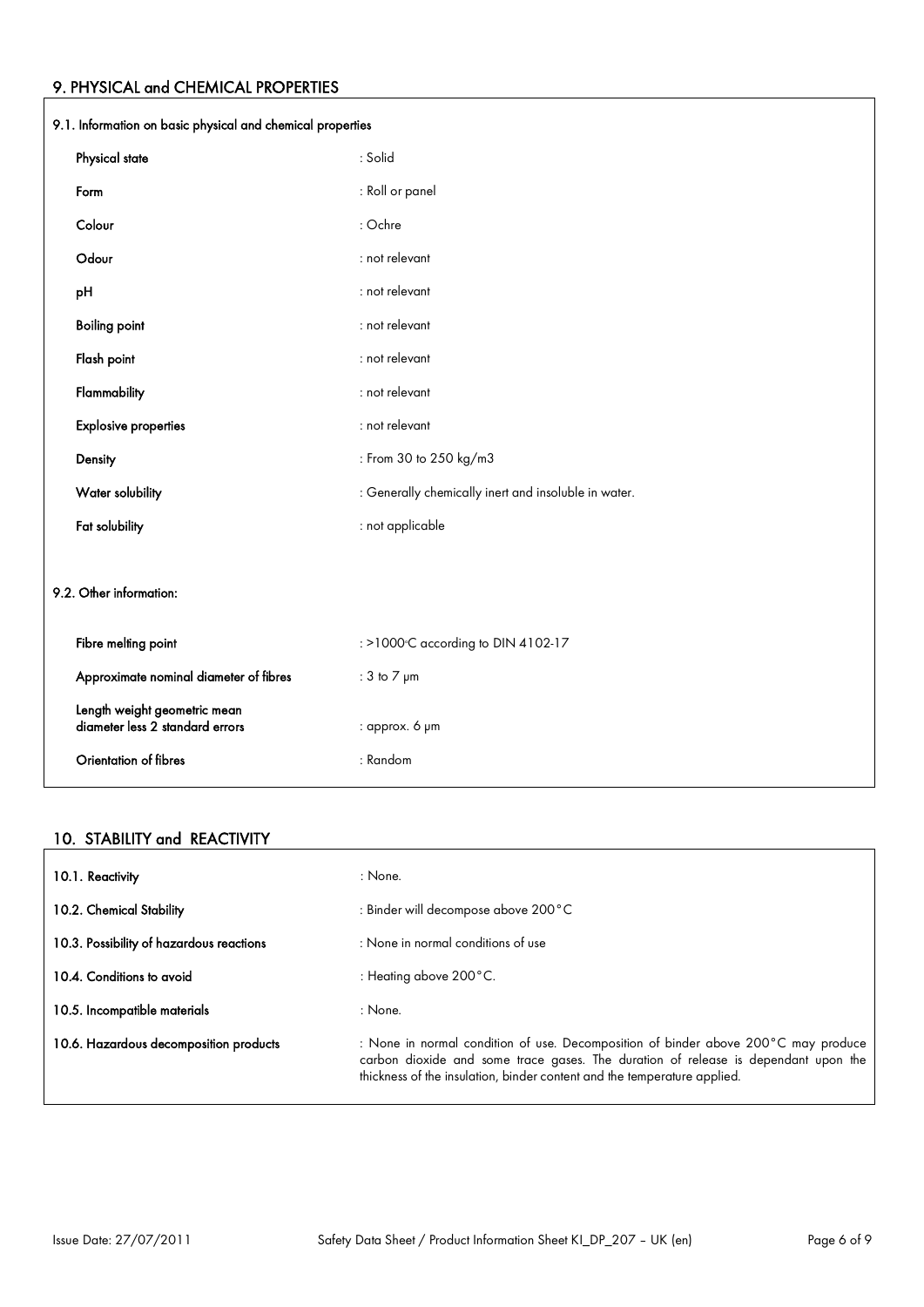# 9. PHYSICAL and CHEMICAL PROPERTIES

| 9.1. Information on basic physical and chemical properties      |                                                      |  |
|-----------------------------------------------------------------|------------------------------------------------------|--|
| Physical state                                                  | : Solid                                              |  |
| Form                                                            | : Roll or panel                                      |  |
| Colour                                                          | : Ochre                                              |  |
| Odour                                                           | : not relevant                                       |  |
| pH                                                              | : not relevant                                       |  |
| <b>Boiling point</b>                                            | : not relevant                                       |  |
| Flash point                                                     | : not relevant                                       |  |
| Flammability                                                    | : not relevant                                       |  |
| <b>Explosive properties</b>                                     | : not relevant                                       |  |
| Density                                                         | : From 30 to 250 kg/m3                               |  |
| Water solubility                                                | : Generally chemically inert and insoluble in water. |  |
| Fat solubility                                                  | : not applicable                                     |  |
|                                                                 |                                                      |  |
| 9.2. Other information:                                         |                                                      |  |
| Fibre melting point                                             | : >1000°C according to DIN 4102-17                   |  |
| Approximate nominal diameter of fibres                          | : $3$ to $7 \mu m$                                   |  |
| Length weight geometric mean<br>diameter less 2 standard errors | : approx. 6 pm                                       |  |
| Orientation of fibres                                           | : Random                                             |  |

#### 10. STABILITY and REACTIVITY

| 10.1. Reactivity                         | : None.                                                                                                                                                                                                                                              |
|------------------------------------------|------------------------------------------------------------------------------------------------------------------------------------------------------------------------------------------------------------------------------------------------------|
| 10.2. Chemical Stability                 | : Binder will decompose above 200 °C                                                                                                                                                                                                                 |
| 10.3. Possibility of hazardous reactions | : None in normal conditions of use                                                                                                                                                                                                                   |
| 10.4. Conditions to avoid                | : Heating above $200^{\circ}$ C.                                                                                                                                                                                                                     |
| 10.5. Incompatible materials             | : None.                                                                                                                                                                                                                                              |
| 10.6. Hazardous decomposition products   | : None in normal condition of use. Decomposition of binder above 200°C may produce<br>carbon dioxide and some trace gases. The duration of release is dependant upon the<br>thickness of the insulation, binder content and the temperature applied. |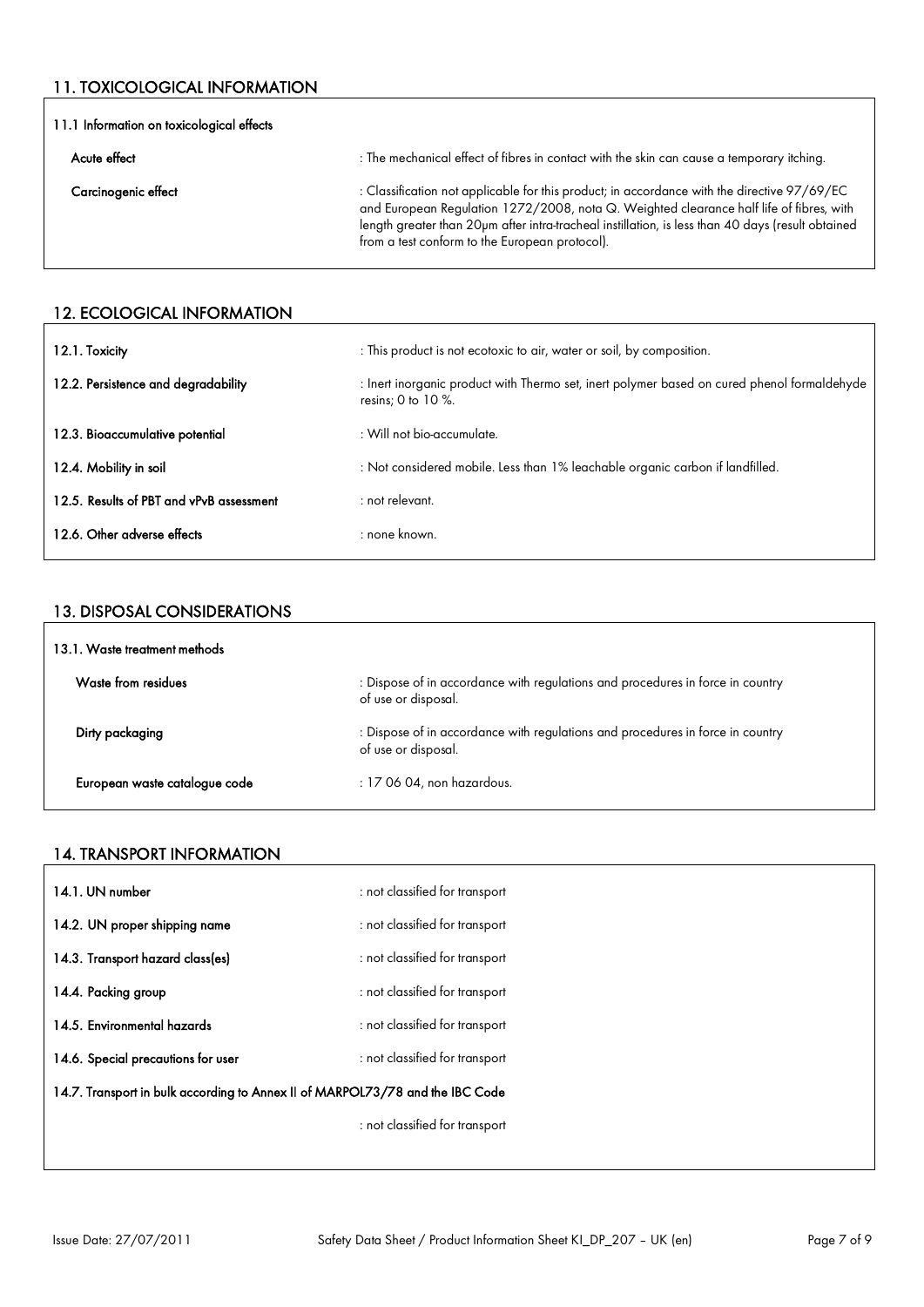## 11. TOXICOLOGICAL INFORMATION

| 11.1 Information on toxicological effects |                                                                                                                                                                                                                                                                                                                                               |  |
|-------------------------------------------|-----------------------------------------------------------------------------------------------------------------------------------------------------------------------------------------------------------------------------------------------------------------------------------------------------------------------------------------------|--|
| Acute effect                              | : The mechanical effect of fibres in contact with the skin can cause a temporary itching.                                                                                                                                                                                                                                                     |  |
| Carcinogenic effect                       | : Classification not applicable for this product; in accordance with the directive 97/69/EC<br>and European Regulation 1272/2008, nota Q. Weighted clearance half life of fibres, with<br>length greater than 20pm after intra-tracheal instillation, is less than 40 days (result obtained<br>from a test conform to the European protocol). |  |

#### 12. ECOLOGICAL INFORMATION

| 12.1. Toxicity                           | : This product is not ecotoxic to air, water or soil, by composition.                                                 |
|------------------------------------------|-----------------------------------------------------------------------------------------------------------------------|
| 12.2. Persistence and degradability      | : Inert inorganic product with Thermo set, inert polymer based on cured phenol formaldehyde<br>resins; 0 to 10 $\%$ . |
| 12.3. Bioaccumulative potential          | $\pm$ Will not bio-accumulate.                                                                                        |
| 12.4. Mobility in soil                   | : Not considered mobile. Less than 1% leachable organic carbon if landfilled.                                         |
| 12.5. Results of PBT and vPvB assessment | : not relevant.                                                                                                       |
| 12.6. Other adverse effects              | : none known.                                                                                                         |

#### 13. DISPOSAL CONSIDERATIONS

| 13.1. Waste treatment methods |                                                                                                       |
|-------------------------------|-------------------------------------------------------------------------------------------------------|
| Waste from residues           | : Dispose of in accordance with regulations and procedures in force in country<br>of use or disposal. |
| Dirty packaging               | : Dispose of in accordance with regulations and procedures in force in country<br>of use or disposal. |
| European waste catalogue code | $: 170604$ , non hazardous.                                                                           |

#### 14. TRANSPORT INFORMATION

| 14.1. UN number                                                               | : not classified for transport |
|-------------------------------------------------------------------------------|--------------------------------|
| 14.2. UN proper shipping name                                                 | : not classified for transport |
| 14.3. Transport hazard class(es)                                              | : not classified for transport |
| 14.4. Packing group                                                           | : not classified for transport |
| 14.5. Environmental hazards                                                   | : not classified for transport |
| 14.6. Special precautions for user                                            | : not classified for transport |
| 14.7. Transport in bulk according to Annex II of MARPOL73/78 and the IBC Code |                                |
|                                                                               | : not classified for transport |
|                                                                               |                                |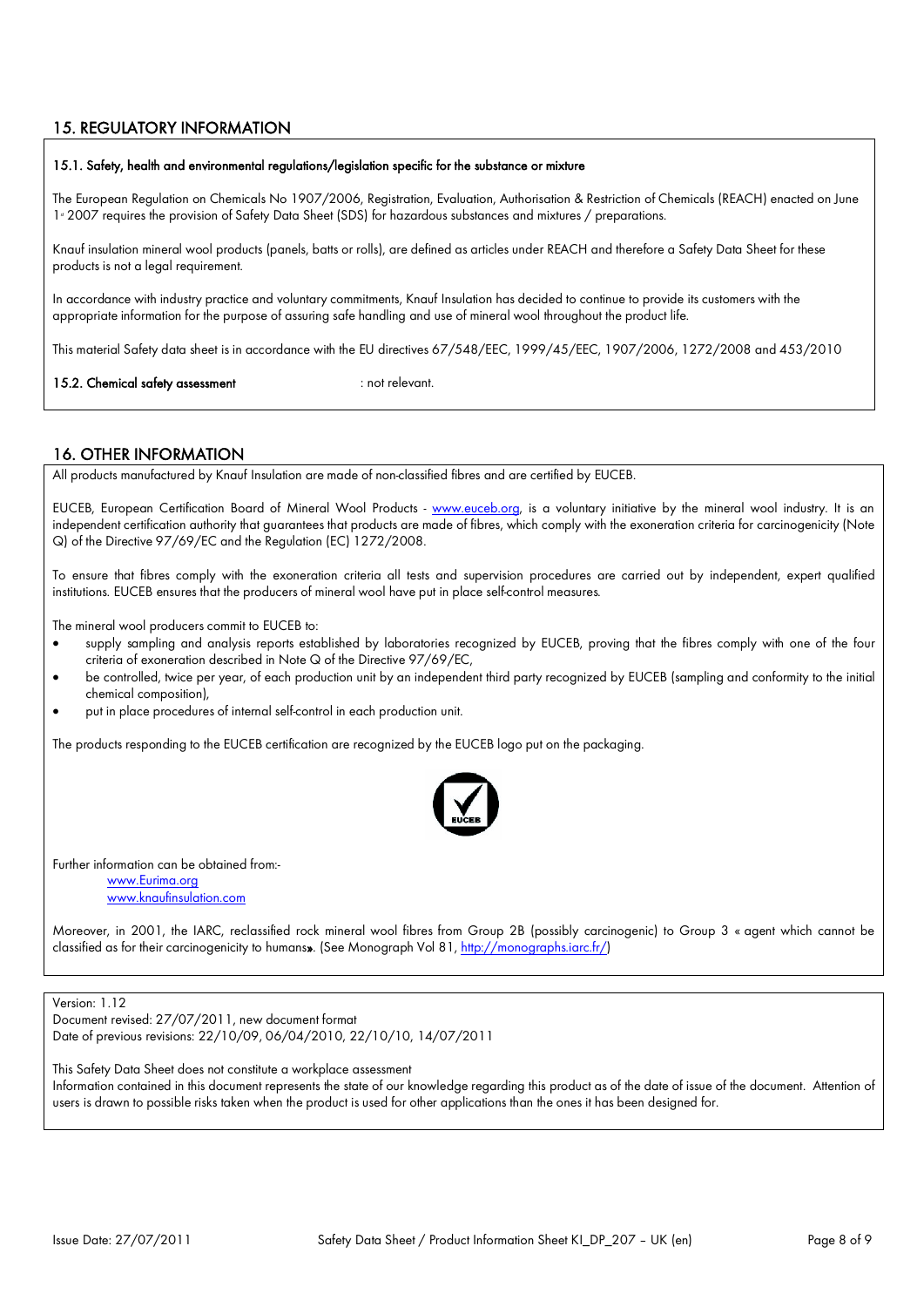#### 15. REGULATORY INFORMATION

#### 15.1. Safety, health and environmental regulations/legislation specific for the substance or mixture

The European Regulation on Chemicals No 1907/2006, Registration, Evaluation, Authorisation & Restriction of Chemicals (REACH) enacted on June 1<sup>s</sup> 2007 requires the provision of Safety Data Sheet (SDS) for hazardous substances and mixtures / preparations.

Knauf insulation mineral wool products (panels, batts or rolls), are defined as articles under REACH and therefore a Safety Data Sheet for these products is not a legal requirement.

In accordance with industry practice and voluntary commitments, Knauf Insulation has decided to continue to provide its customers with the appropriate information for the purpose of assuring safe handling and use of mineral wool throughout the product life.

This material Safety data sheet is in accordance with the EU directives 67/548/EEC, 1999/45/EEC, 1907/2006, 1272/2008 and 453/2010

15.2. Chemical safety assessment : not relevant.

#### 16. OTHER INFORMATION

All products manufactured by Knauf Insulation are made of non-classified fibres and are certified by EUCEB.

EUCEB, European Certification Board of Mineral Wool Products - [www.euceb.org,](http://www.euceb.org/) is a voluntary initiative by the mineral wool industry. It is an independent certification authority that guarantees that products are made of fibres, which comply with the exoneration criteria for carcinogenicity (Note Q) of the Directive 97/69/EC and the Regulation (EC) 1272/2008.

To ensure that fibres comply with the exoneration criteria all tests and supervision procedures are carried out by independent, expert qualified institutions. EUCEB ensures that the producers of mineral wool have put in place self-control measures.

The mineral wool producers commit to EUCEB to:

- supply sampling and analysis reports established by laboratories recognized by EUCEB, proving that the fibres comply with one of the four criteria of exoneration described in Note Q of the Directive 97/69/EC,
- be controlled, twice per year, of each production unit by an independent third party recognized by EUCEB (sampling and conformity to the initial chemical composition),
- put in place procedures of internal self-control in each production unit.

The products responding to the EUCEB certification are recognized by the EUCEB logo put on the packaging.



Further information can be obtained from:-

[www.Eurima.org](http://www.Eurima.org/) [www.knaufinsulation.com](http://www.knaufinsulation.com/)

Moreover, in 2001, the IARC, reclassified rock mineral wool fibres from Group 2B (possibly carcinogenic) to Group 3 « agent which cannot be classified as for their carcinogenicity to humans». (See Monograph Vol 81, [http://monographs.iarc.fr/\)](http://monographs.iarc.fr/))

#### Version: 1.12

Document revised: 27/07/2011, new document format Date of previous revisions: 22/10/09, 06/04/2010, 22/10/10, 14/07/2011

This Safety Data Sheet does not constitute a workplace assessment Information contained in this document represents the state of our knowledge regarding this product as of the date of issue of the document. Attention of users is drawn to possible risks taken when the product is used for other applications than the ones it has been designed for.